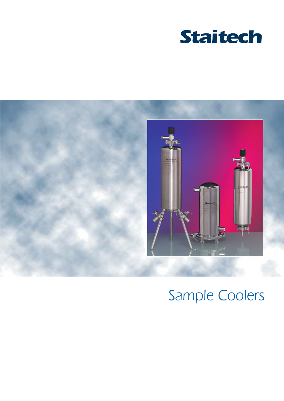



# Sample Coolers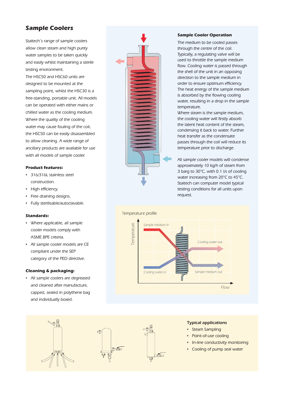# **Sample Coolers**

Staitech's range of sample coolers allow clean steam and high purity water samples to be taken quickly and easily whilst maintaining a sterile testing environment.

The HSC50 and HSC60 units are designed to be mounted at the sampling point, whilst the HSC30 is a free-standing, portable unit. All models can be operated with either mains or chilled water as the cooling medium. Where the quality of the cooling water may cause fouling of the coil, the HSC50 can be easily disassembled to allow cleaning. A wide range of ancillary products are available for use with all models of sample cooler.

#### **Product features:**

- 316/316L stainless steel construction.
- **·** High efficiency.
- Free draining designs.
- Fully sterilisable/autoclavable.

#### **Standards:**

- Where applicable, all sample cooler models comply with ASME BPE criteria.
- All sample cooler models are CE compliant under the SEP category of the PED directive.

#### **Cleaning & packaging:**

▪ All sample coolers are degreased and cleaned after manufacture, capped, sealed in polythene bag and individually boxed.

L

ਬੀ



#### **Sample Cooler Operation**

The medium to be cooled passes through the centre of the coil. Typically, a regulating valve will be used to throttle the sample medium flow. Cooling water is passed through the shell of the unit in an opposing direction to the sample medium in order to ensure optimum efficiency. The heat energy of the sample medium is absorbed by the flowing cooling water, resulting in a drop in the sample temperature.

Where steam is the sample medium, the cooling water will firstly absorb the latent heat content of the steam, condensing it back to water. Further heat transfer as the condensate passes through the coil will reduce its temperature prior to discharge.

All sample cooler models will condense approximately 10 kg/h of steam from 3 barg to 30°C, with 0.1 l/s of cooling water increasing from 20°C to 45°C. Staitech can computer model typical testing conditions for all units upon request.



iñ-

Typical applications

- Steam Sampling
- Point-of-use cooling
- In-line conductivity monitoring
- Cooling of pump seal water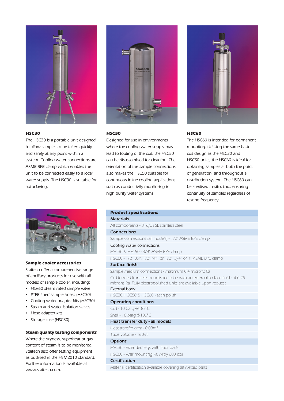

### **HSC30**

The HSC30 is a portable unit designed to allow samples to be taken quickly and safely at any point within a system. Cooling water connections are ASME BPE clamp which enables the unit to be connected easily to a local water supply. The HSC30 is suitable for autoclaving.



#### **Sample cooler accessories**

Staitech offer a comprehensive range of ancillary products for use with all models of sample cooler, including:

- **·** HSV60 steam rated sample valve
- PTFE lined sample hoses (HSC30)
- Cooling water adapter kits (HSC30)
- Steam and water isolation valves
- Hose adapter kits
- Storage case (HSC30)

# **Steam quality testing components**

Where the dryness, superheat or gas content of steam is to be monitored, Staitech also offer testing equipment as outlined in the HTM2010 standard. Further information is available at www.staitech.com.



## **HSC50**

Designed for use in environments where the cooling water supply may lead to fouling of the coil, the HSC50 can be disassembled for cleaning. The orientation of the sample connections also makes the HSC50 suitable for continuous inline cooling applications such as conductivity monitoring in high purity water systems.



# **HSC60**

The HSC60 is intended for permanent mounting. Utilising the same basic coil design as the HSC30 and HSC50 units, the HSC60 is ideal for obtaining samples at both the point of generation, and throughout a distribution system. The HSC60 can be sterilised in-situ, thus ensuring continuity of samples regardless of testing frequency.

| <b>Product specifications</b>                                                                                                                       |
|-----------------------------------------------------------------------------------------------------------------------------------------------------|
| <b>Materials</b>                                                                                                                                    |
| All components - 316/316L stainless steel                                                                                                           |
| <b>Connections</b>                                                                                                                                  |
| Sample connections (all models) - 1/2" ASME BPE clamp                                                                                               |
| Cooling water connections                                                                                                                           |
| HSC30 & HSC50 - 3/4" ASME BPE clamp                                                                                                                 |
| HSC60 - 1/2" BSP, 1/2" NPT or 1/2", 3/4" or 1" ASME BPE clamp                                                                                       |
| <b>Surface finish</b>                                                                                                                               |
| Sample medium connections - maximum 0.4 microns Ra                                                                                                  |
| Coil formed from electropolished tube with an external surface finish of 0.25<br>microns Ra. Fully electropolished units are available upon request |
| External body                                                                                                                                       |
| HSC30, HSC50 & HSC60 - satin polish                                                                                                                 |
| <b>Operating conditions</b>                                                                                                                         |
| Coil - 10 barg @185°C                                                                                                                               |
| Shell - 10 barg @100°C                                                                                                                              |
| Heat transfer duty - all models                                                                                                                     |
| Heat transfer area - 0.08m <sup>2</sup>                                                                                                             |
| Tube volume - 160ml                                                                                                                                 |
| <b>Options</b>                                                                                                                                      |
| HSC30 - Extended legs with floor pads                                                                                                               |
| HSC60 - Wall mounting kit, Alloy 600 coil                                                                                                           |
| Certification                                                                                                                                       |
| Material certification available covering all wetted parts                                                                                          |